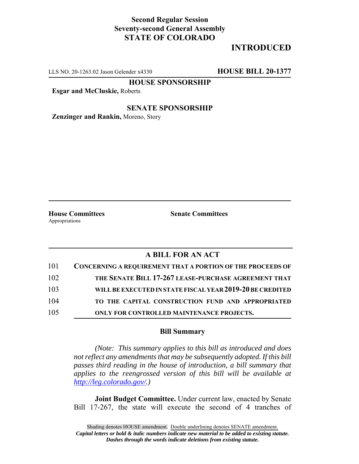## **Second Regular Session Seventy-second General Assembly STATE OF COLORADO**

# **INTRODUCED**

LLS NO. 20-1263.02 Jason Gelender x4330 **HOUSE BILL 20-1377**

**HOUSE SPONSORSHIP**

**Esgar and McCluskie,** Roberts

### **SENATE SPONSORSHIP**

**Zenzinger and Rankin,** Moreno, Story

Appropriations

**House Committees Senate Committees**

## **A BILL FOR AN ACT**

| 101 | <b>CONCERNING A REQUIREMENT THAT A PORTION OF THE PROCEEDS OF</b> |
|-----|-------------------------------------------------------------------|
| 102 | THE SENATE BILL 17-267 LEASE-PURCHASE AGREEMENT THAT              |
| 103 | WILL BE EXECUTED IN STATE FISCAL YEAR 2019-20 BE CREDITED         |
| 104 | TO THE CAPITAL CONSTRUCTION FUND AND APPROPRIATED                 |
| 105 | ONLY FOR CONTROLLED MAINTENANCE PROJECTS.                         |

#### **Bill Summary**

*(Note: This summary applies to this bill as introduced and does not reflect any amendments that may be subsequently adopted. If this bill passes third reading in the house of introduction, a bill summary that applies to the reengrossed version of this bill will be available at http://leg.colorado.gov/.)*

**Joint Budget Committee.** Under current law, enacted by Senate Bill 17-267, the state will execute the second of 4 tranches of